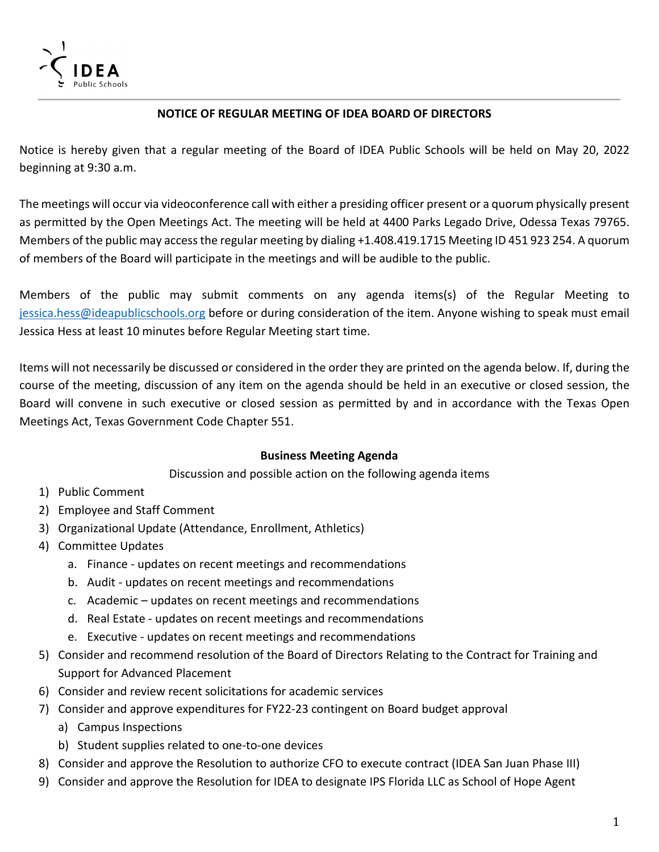

## **NOTICE OF REGULAR MEETING OF IDEA BOARD OF DIRECTORS**

Notice is hereby given that a regular meeting of the Board of IDEA Public Schools will be held on May 20, 2022 beginning at 9:30 a.m.

The meetings will occur via videoconference call with either a presiding officer present or a quorum physically present as permitted by the Open Meetings Act. The meeting will be held at 4400 Parks Legado Drive, Odessa Texas 79765. Members of the public may access the regular meeting by dialing +1.408.419.1715 Meeting ID 451 923 254. A quorum of members of the Board will participate in the meetings and will be audible to the public.

Members of the public may submit comments on any agenda items(s) of the Regular Meeting to [jessica.hess@ideapublicschools.org](mailto:jessica.hess@ideapublicschools.org) before or during consideration of the item. Anyone wishing to speak must email Jessica Hess at least 10 minutes before Regular Meeting start time.

Items will not necessarily be discussed or considered in the order they are printed on the agenda below. If, during the course of the meeting, discussion of any item on the agenda should be held in an executive or closed session, the Board will convene in such executive or closed session as permitted by and in accordance with the Texas Open Meetings Act, Texas Government Code Chapter 551.

## **Business Meeting Agenda**

Discussion and possible action on the following agenda items

- 1) Public Comment
- 2) Employee and Staff Comment
- 3) Organizational Update (Attendance, Enrollment, Athletics)
- 4) Committee Updates
	- a. Finance updates on recent meetings and recommendations
	- b. Audit updates on recent meetings and recommendations
	- c. Academic updates on recent meetings and recommendations
	- d. Real Estate updates on recent meetings and recommendations
	- e. Executive updates on recent meetings and recommendations
- 5) Consider and recommend resolution of the Board of Directors Relating to the Contract for Training and Support for Advanced Placement
- 6) Consider and review recent solicitations for academic services
- 7) Consider and approve expenditures for FY22-23 contingent on Board budget approval
	- a) Campus Inspections
	- b) Student supplies related to one-to-one devices
- 8) Consider and approve the Resolution to authorize CFO to execute contract (IDEA San Juan Phase III)
- 9) Consider and approve the Resolution for IDEA to designate IPS Florida LLC as School of Hope Agent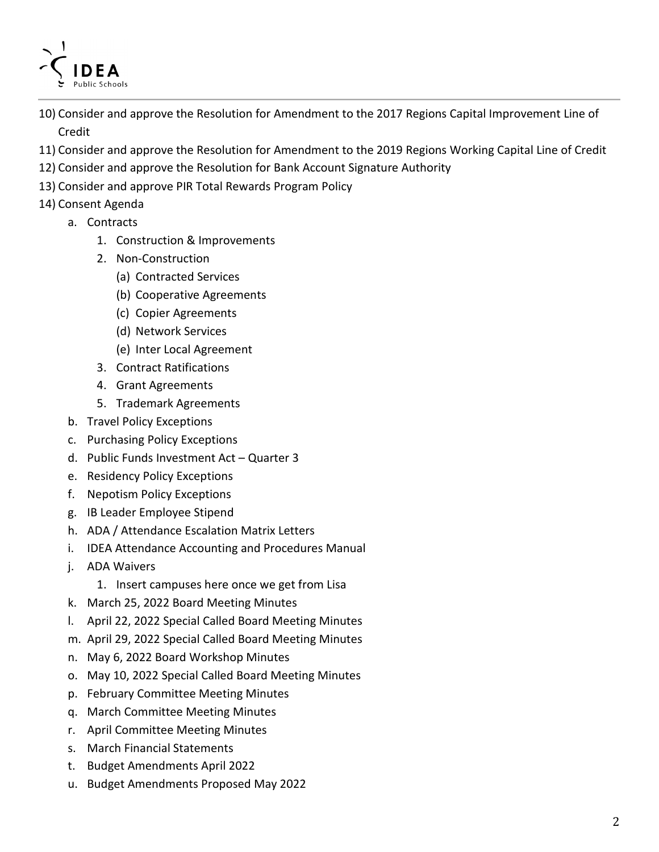

- 10) Consider and approve the Resolution for Amendment to the 2017 Regions Capital Improvement Line of Credit
- 11) Consider and approve the Resolution for Amendment to the 2019 Regions Working Capital Line of Credit
- 12) Consider and approve the Resolution for Bank Account Signature Authority
- 13) Consider and approve PIR Total Rewards Program Policy
- 14) Consent Agenda
	- a. Contracts
		- 1. Construction & Improvements
		- 2. Non-Construction
			- (a) Contracted Services
			- (b) Cooperative Agreements
			- (c) Copier Agreements
			- (d) Network Services
			- (e) Inter Local Agreement
		- 3. Contract Ratifications
		- 4. Grant Agreements
		- 5. Trademark Agreements
	- b. Travel Policy Exceptions
	- c. Purchasing Policy Exceptions
	- d. Public Funds Investment Act Quarter 3
	- e. Residency Policy Exceptions
	- f. Nepotism Policy Exceptions
	- g. IB Leader Employee Stipend
	- h. ADA / Attendance Escalation Matrix Letters
	- i. IDEA Attendance Accounting and Procedures Manual
	- j. ADA Waivers
		- 1. Insert campuses here once we get from Lisa
	- k. March 25, 2022 Board Meeting Minutes
	- l. April 22, 2022 Special Called Board Meeting Minutes
	- m. April 29, 2022 Special Called Board Meeting Minutes
	- n. May 6, 2022 Board Workshop Minutes
	- o. May 10, 2022 Special Called Board Meeting Minutes
	- p. February Committee Meeting Minutes
	- q. March Committee Meeting Minutes
	- r. April Committee Meeting Minutes
	- s. March Financial Statements
	- t. Budget Amendments April 2022
	- u. Budget Amendments Proposed May 2022